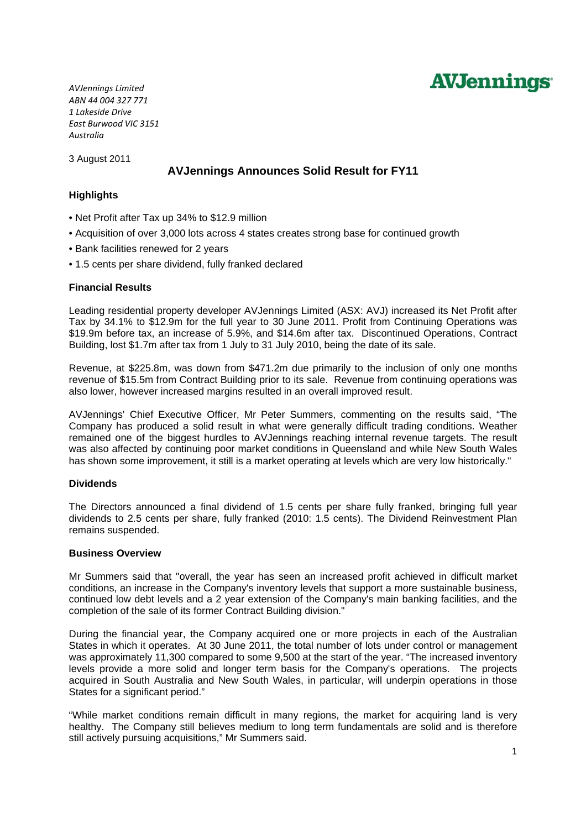

*AVJennings Limited ABN 44 004 327 771 1 Lakeside Drive East Burwood VIC 3151 Australia*

3 August 2011

# **AVJennings Announces Solid Result for FY11**

# **Highlights**

- Net Profit after Tax up 34% to \$12.9 million
- Acquisition of over 3,000 lots across 4 states creates strong base for continued growth
- Bank facilities renewed for 2 years
- 1.5 cents per share dividend, fully franked declared

## **Financial Results**

Leading residential property developer AVJennings Limited (ASX: AVJ) increased its Net Profit after Tax by 34.1% to \$12.9m for the full year to 30 June 2011. Profit from Continuing Operations was \$19.9m before tax, an increase of 5.9%, and \$14.6m after tax. Discontinued Operations, Contract Building, lost \$1.7m after tax from 1 July to 31 July 2010, being the date of its sale.

Revenue, at \$225.8m, was down from \$471.2m due primarily to the inclusion of only one months revenue of \$15.5m from Contract Building prior to its sale. Revenue from continuing operations was also lower, however increased margins resulted in an overall improved result.

AVJennings' Chief Executive Officer, Mr Peter Summers, commenting on the results said, "The Company has produced a solid result in what were generally difficult trading conditions. Weather remained one of the biggest hurdles to AVJennings reaching internal revenue targets. The result was also affected by continuing poor market conditions in Queensland and while New South Wales has shown some improvement, it still is a market operating at levels which are very low historically."

#### **Dividends**

The Directors announced a final dividend of 1.5 cents per share fully franked, bringing full year dividends to 2.5 cents per share, fully franked (2010: 1.5 cents). The Dividend Reinvestment Plan remains suspended.

#### **Business Overview**

Mr Summers said that "overall, the year has seen an increased profit achieved in difficult market conditions, an increase in the Company's inventory levels that support a more sustainable business, continued low debt levels and a 2 year extension of the Company's main banking facilities, and the completion of the sale of its former Contract Building division."

During the financial year, the Company acquired one or more projects in each of the Australian States in which it operates. At 30 June 2011, the total number of lots under control or management was approximately 11,300 compared to some 9,500 at the start of the year. "The increased inventory levels provide a more solid and longer term basis for the Company's operations. The projects acquired in South Australia and New South Wales, in particular, will underpin operations in those States for a significant period."

"While market conditions remain difficult in many regions, the market for acquiring land is very healthy. The Company still believes medium to long term fundamentals are solid and is therefore still actively pursuing acquisitions," Mr Summers said.